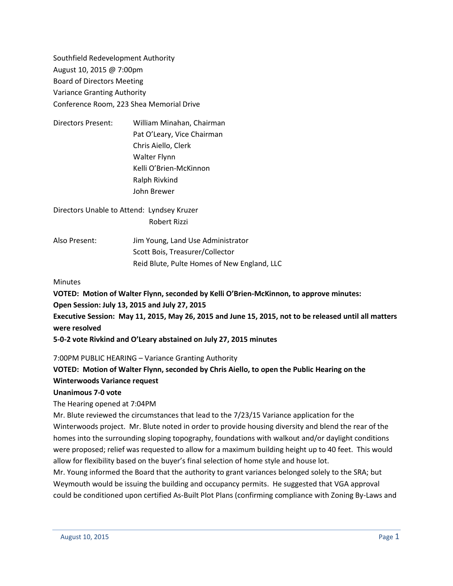Southfield Redevelopment Authority August 10, 2015 @ 7:00pm Board of Directors Meeting Variance Granting Authority Conference Room, 223 Shea Memorial Drive

Directors Present: William Minahan, Chairman Pat O'Leary, Vice Chairman Chris Aiello, Clerk Walter Flynn Kelli O'Brien-McKinnon Ralph Rivkind John Brewer

Directors Unable to Attend: Lyndsey Kruzer Robert Rizzi

Also Present: Jim Young, Land Use Administrator Scott Bois, Treasurer/Collector Reid Blute, Pulte Homes of New England, LLC

### **Minutes**

**VOTED: Motion of Walter Flynn, seconded by Kelli O'Brien-McKinnon, to approve minutes: Open Session: July 13, 2015 and July 27, 2015 Executive Session: May 11, 2015, May 26, 2015 and June 15, 2015, not to be released until all matters were resolved 5-0-2 vote Rivkind and O'Leary abstained on July 27, 2015 minutes**

7:00PM PUBLIC HEARING – Variance Granting Authority

## **VOTED: Motion of Walter Flynn, seconded by Chris Aiello, to open the Public Hearing on the Winterwoods Variance request**

### **Unanimous 7-0 vote**

The Hearing opened at 7:04PM

Mr. Blute reviewed the circumstances that lead to the 7/23/15 Variance application for the Winterwoods project. Mr. Blute noted in order to provide housing diversity and blend the rear of the homes into the surrounding sloping topography, foundations with walkout and/or daylight conditions were proposed; relief was requested to allow for a maximum building height up to 40 feet. This would allow for flexibility based on the buyer's final selection of home style and house lot.

Mr. Young informed the Board that the authority to grant variances belonged solely to the SRA; but Weymouth would be issuing the building and occupancy permits. He suggested that VGA approval could be conditioned upon certified As-Built Plot Plans (confirming compliance with Zoning By-Laws and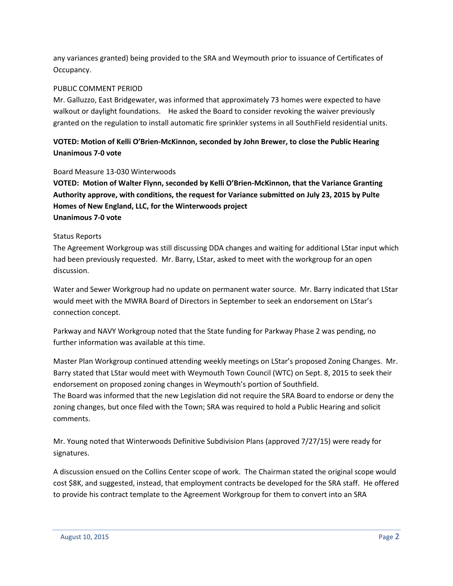any variances granted) being provided to the SRA and Weymouth prior to issuance of Certificates of Occupancy.

## PUBLIC COMMENT PERIOD

Mr. Galluzzo, East Bridgewater, was informed that approximately 73 homes were expected to have walkout or daylight foundations. He asked the Board to consider revoking the waiver previously granted on the regulation to install automatic fire sprinkler systems in all SouthField residential units.

# **VOTED: Motion of Kelli O'Brien-McKinnon, seconded by John Brewer, to close the Public Hearing Unanimous 7-0 vote**

### Board Measure 13-030 Winterwoods

**VOTED: Motion of Walter Flynn, seconded by Kelli O'Brien-McKinnon, that the Variance Granting Authority approve, with conditions, the request for Variance submitted on July 23, 2015 by Pulte Homes of New England, LLC, for the Winterwoods project Unanimous 7-0 vote**

## Status Reports

The Agreement Workgroup was still discussing DDA changes and waiting for additional LStar input which had been previously requested. Mr. Barry, LStar, asked to meet with the workgroup for an open discussion.

Water and Sewer Workgroup had no update on permanent water source. Mr. Barry indicated that LStar would meet with the MWRA Board of Directors in September to seek an endorsement on LStar's connection concept.

Parkway and NAVY Workgroup noted that the State funding for Parkway Phase 2 was pending, no further information was available at this time.

Master Plan Workgroup continued attending weekly meetings on LStar's proposed Zoning Changes. Mr. Barry stated that LStar would meet with Weymouth Town Council (WTC) on Sept. 8, 2015 to seek their endorsement on proposed zoning changes in Weymouth's portion of Southfield. The Board was informed that the new Legislation did not require the SRA Board to endorse or deny the zoning changes, but once filed with the Town; SRA was required to hold a Public Hearing and solicit comments.

Mr. Young noted that Winterwoods Definitive Subdivision Plans (approved 7/27/15) were ready for signatures.

A discussion ensued on the Collins Center scope of work. The Chairman stated the original scope would cost \$8K, and suggested, instead, that employment contracts be developed for the SRA staff. He offered to provide his contract template to the Agreement Workgroup for them to convert into an SRA